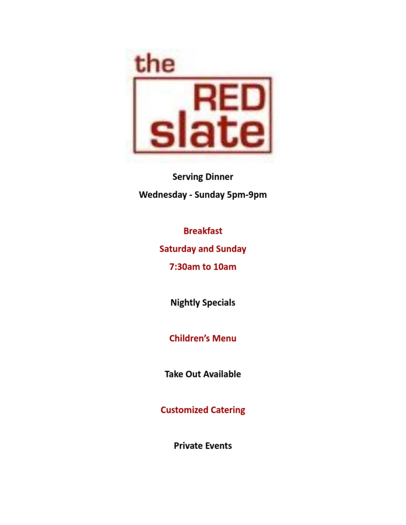

**Serving Dinner** Wednesday - Sunday 5pm-9pm

**Breakfast** 

**Saturday and Sunday** 

7:30am to 10am

**Nightly Specials** 

**Children's Menu** 

**Take Out Available** 

**Customized Catering** 

**Private Events**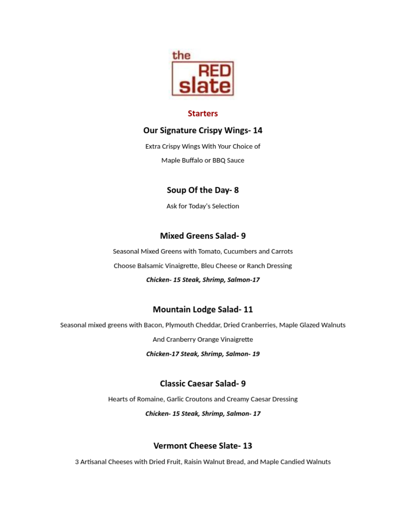

#### **Starters**

#### Our Signature Crispy Wings- 14

Extra Crispy Wings With Your Choice of Maple Buffalo or BBQ Sauce

# Soup Of the Day-8

Ask for Today's Selection

### **Mixed Greens Salad-9**

Seasonal Mixed Greens with Tomato, Cucumbers and Carrots Choose Balsamic Vinaigrette, Bleu Cheese or Ranch Dressing

#### Chicken- 15 Steak, Shrimp, Salmon-17

# **Mountain Lodge Salad-11**

Seasonal mixed greens with Bacon, Plymouth Cheddar, Dried Cranberries, Maple Glazed Walnuts

And Cranberry Orange Vinaigrette

Chicken-17 Steak, Shrimp, Salmon- 19

# **Classic Caesar Salad-9**

Hearts of Romaine, Garlic Croutons and Creamy Caesar Dressing

Chicken- 15 Steak, Shrimp, Salmon- 17

# **Vermont Cheese Slate-13**

3 Artisanal Cheeses with Dried Fruit, Raisin Walnut Bread, and Maple Candied Walnuts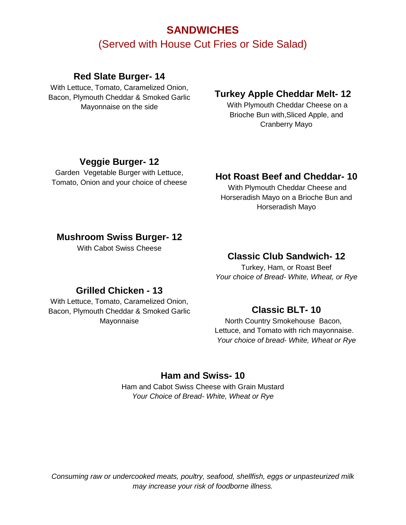# **SANDWICHES** (Served with House Cut Fries or Side Salad)

### **Red Slate Burger- 14**

With Lettuce, Tomato, Caramelized Onion, Bacon, Plymouth Cheddar & Smoked Garlic Mayonnaise on the side

### **Turkey Apple Cheddar Melt- 12**

With Plymouth Cheddar Cheese on a Brioche Bun with,Sliced Apple, and Cranberry Mayo

## **Veggie Burger- 12**

Garden Vegetable Burger with Lettuce, Tomato, Onion and your choice of cheese

# **Hot Roast Beef and Cheddar- 10**

With Plymouth Cheddar Cheese and Horseradish Mayo on a Brioche Bun and Horseradish Mayo

#### **Mushroom Swiss Burger- 12**

With Cabot Swiss Cheese

## **Classic Club Sandwich- 12**

Turkey, Ham, or Roast Beef *Your choice of Bread- White, Wheat, or Rye*

### **Grilled Chicken - 13**

With Lettuce, Tomato, Caramelized Onion, Bacon, Plymouth Cheddar & Smoked Garlic Mayonnaise

### **Classic BLT- 10**

 North Country Smokehouse Bacon, Lettuce, and Tomato with rich mayonnaise. *Your choice of bread- White, Wheat or Rye*

#### **Ham and Swiss- 10**

Ham and Cabot Swiss Cheese with Grain Mustard *Your Choice of Bread- White, Wheat or Rye*

*Consuming raw or undercooked meats, poultry, seafood, shellfish, eggs or unpasteurized milk may increase your risk of foodborne illness.*